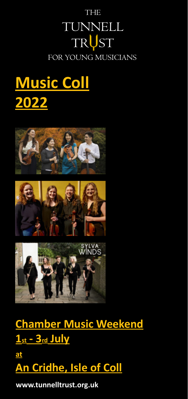# FOR YOUNG MUSICIANS **THE** TUNNELL TRUST

# **[Music Coll](https://tunnelltrust.org.uk/musiccoll2022/) [2022](https://tunnelltrust.org.uk/musiccoll2022/)**







**[Chamber Music Weekend](https://tunnelltrust.org.uk/musiccoll2022/) [1st - 3rd July](https://tunnelltrust.org.uk/musiccoll2022/) [at](https://tunnelltrust.org.uk/musiccoll2022/)**

**[An Cridhe, Isle of Coll](https://tunnelltrust.org.uk/musiccoll2022/)**

**www.tunnelltrust.org.uk**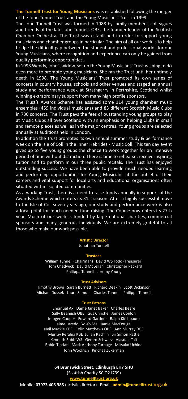**The Tunnell Trust for Young Musicians** was established following the merger of the John Tunnell Trust and the Young Musicians' Trust in 1999.

The John Tunnell Trust was formed in 1988 by family members, colleagues and friends of the late John Tunnell, OBE, the founder leader of the Scottish Chamber Orchestra. The Trust was established in order to support young musicians and chamber groups in particular. The aim of all our work is to help bridge the difficult gap between the student and professional worlds for our Young Musicians, where recognition and experience can only be gained from quality performing opportunities.

In 1993 Wendy, John's widow, set up the Young Musicians' Trust wishing to do even more to promote young musicians. She ran the Trust until her untimely death in 1998. The Young Musicians' Trust promoted its own series of concerts in country houses, schools and other venues and staged an annual study and performance week at Strathgarry in Perthshire, Scotland whilst winning extraordinary support from many high profile sponsors.

The Trust's Awards Scheme has assisted some 114 young chamber music ensembles (459 individual musicians) and 83 different Scottish Music Clubs in 730 concerts. The Trust pays the fees of outstanding young groups to play at Music Clubs all over Scotland with an emphasis on helping Clubs in small and remote places as well as in the major centres. Young groups are selected annually at auditions held in London.

In addition the Trust promotes its own annual summer study & performance week on the Isle of Coll in the Inner Hebrides - Music Coll. This ten day event gives up to five young groups the chance to work together for an intensive period of time without distraction. There is time to rehearse, receive inspiring tuition and to perform in our three public recitals. The Trust has enjoyed outstanding success. We have been able to provide much needed learning and performing opportunities for Young Musicians at the outset of their careers and vital support for local arts and educational organisations often situated within isolated communities.

As a working Trust, there is a need to raise funds annually in support of the Awards Scheme which enters its 31st season. After a highly successful move to the Isle of Coll seven years ago, our study and performance week is also a focal point for much needed fund raising. The Course now enters its 27th year. Much of our work is funded by large national charities, commercial sponsors and many generous individuals. We are extremely grateful to all those who make our work possible.

#### **[Artistic Director](https://tunnelltrust.org.uk/whoweare/artisticadvisers/)**

Jonathan Tunnell

#### **[Trustees](https://tunnelltrust.org.uk/whoweare/trustees/)**

William Tunnell (Chairman) David WS Todd (Treasurer) Tom Chadwick David McLellan Christopher Packard Philippa Tunnell Jeremy Young

#### **Trust Adv**

Timothy Brown Sarah Burnett Richard Deakin Scott Dickinson Michael Dussek Laura Samuel Charles Tunnell Philippa Tunnell

#### **Trust Patron**

Emanuel Ax Dame Janet Baker Charles Beare Sally Beamish OBE Gus Christie James Conlon Imogen Cooper Edward Gardner Ralph Kirshbaum Jaime Laredo Yo-Yo Ma Jamie MacDougall Neil Mackie CBE Colin Matthews OBE Ann Murray DBE Murray Perahia KBE Julian Rachlin Sir Simon Rattle Kenneth Robb WS Gerard Schwarz Alasdair Tait Robin Ticciati Mark Anthony Turnage Mitsuko Uchida John Woolrich Pinchas Zukerman

> **64 Brunswick Street, Edinburgh EH7 5HU** (Scottish Charity SC O21739) **[www.tunnelltrust.org.uk](http://www.tunnelltrust.org.uk)**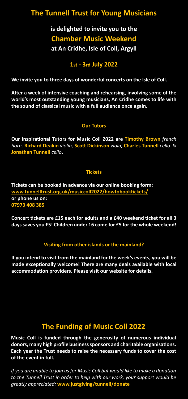# **The Tunnell Trust for Young Musicians**

**is delighted to invite you to the Chamber Music Weekend at An Cridhe, Isle of Coll, Argyll** 

**1st - 3rd July 2022**

**We invite you to three days of wonderful concerts on the Isle of Coll.** 

**After a week of intensive coaching and rehearsing, involving some of the world's most outstanding young musicians, An Cridhe comes to life with the sound of classical music with a full audience once again.**

#### **Our Tutors**

**Our inspirational Tutors for Music Coll 2022 are Timothy Brown** *french horn,* **Richard Deakin** *violin,* **Scott Dickinson** *viola,* **Charles Tunnell** *cello*& **Jonathan Tunnell** *cello***.**

#### **Tickets**

**Tickets can be booked in advance via our online booking form: www.tunnelltrust.org.uk/musiccoll2022/howtobooktickets/ or phone us on: 07973 408 385**

**Concert tickets are £15 each for adults and a £40 weekend ticket for all 3 days saves you £5! Children under 16 come for £5 for the whole weekend!**

#### **Visiting from other islands or the mainland?**

**If you intend to visit from the mainland for the week's events, you will be made exceptionally welcome! There are many deals available with local accommodation providers. Please visit our website for details.**

## **The Funding of Music Coll 2022**

**Music Coll is funded through the generosity of numerous individual donors, many high profile business sponsors and charitable organisations. Each year the Trust needs to raise the necessary funds to cover the cost of the event in full.**

*If you are unable to join us for Music Coll but would like to make a donation to the Tunnell Trust in order to help with our work, your support would be greatly appreciated:* **www.justgiving/tunnell/donate**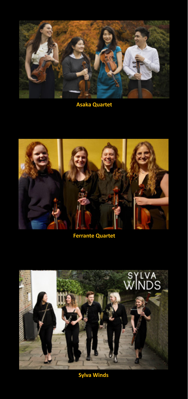

**Asaka Quartet**



**[Ferrante Quartet](https://tunnelltrust.org.uk/musiccoll2022/musiccollmusicians2022/)**



**Sylva Winds**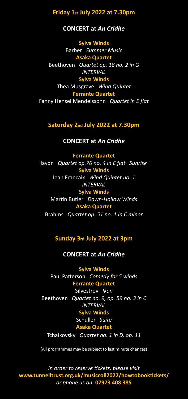#### **Friday 1st July 2022 at 7.30pm**

#### **CONCERT at** *An Cridhe*

**Sylva Winds** Barber*Summer Music* **Asaka Quartet** Beethoven*Quartet op. 18 no. 2 in G INTERVAL* **Sylva Winds** Thea Musgrave *Wind Quintet*

**Ferrante Quartet** Fanny Hensel Mendelssohn*Quartet in E flat*

#### **Saturday 2nd July 2022 at 7.30pm**

#### **CONCERT at** *An Cridhe*

**Ferrante Quartet** Haydn*Quartet op.76 no. 4 in E flat "Sunrise"* **Sylva Winds** Jean Françaix*Wind Quintet no. 1 INTERVAL* **Sylva Winds** Martin Butler*Down-Hollow Winds* **Asaka Quartet** Brahms*Quartet op. 51 no. 1 in C minor*

#### **Sunday 3rd July 2022 at 3pm**

#### **CONCERT at** *An Cridhe*

**Sylva Winds** Paul Patterson*Comedy for 5 winds* **Ferrante Quartet** Silvestrov*Ikon* Beethoven*Quartet no. 9, op. 59 no. 3 in C INTERVAL* **Sylva Winds** Schuller*Suite* **Asaka Quartet**

Tchaikovsky*Quartet no. 1 in D, op. 11*

(All programmes may be subject to last minute changes)

*In order to reserve tickets, please visit*  **[www.tunnelltrust.org.uk/musiccoll2022/howtobooktickets/](http://www.tunnelltrust.org.uk/musiccoll2022/howtobooktickets/)** *or phone us on:* **07973 408 385**